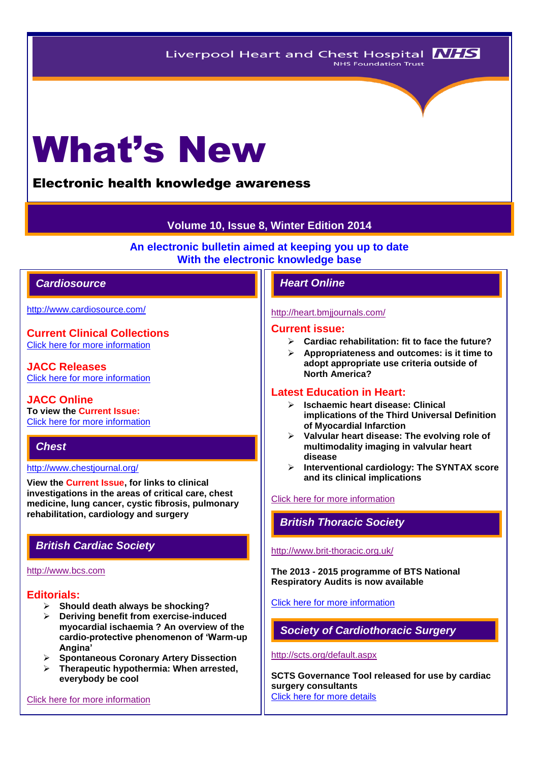# What's New

# Electronic health knowledge awareness

# **Volume 10, Issue 8, Winter Edition 2014**

**An electronic bulletin aimed at keeping you up to date With the electronic knowledge base**

# *Cardiosource Heart Online*

<http://www.cardiosource.com/>

**Current Clinical Collections** [Click here for more information](http://www.cardiosource.org/science-and-quality/clinical-collections.aspx)

**JACC Releases** [Click here for more information](http://www.cardiosource.org/news-media/media-center/jacc-releases.aspx)

**JACC Online To view the Current Issue:** [Click here for more information](http://content.onlinejacc.org/current.dtl)

# *Chest*

### <http://www.chestjournal.org/>

**View the Current Issue, for links to clinical investigations in the areas of critical care, chest medicine, lung cancer, cystic fibrosis, pulmonary rehabilitation, cardiology and surgery**

# *British Cardiac Society*

### [http://www.bcs.com](http://www.bcs.com/)

# **Editorials:**

- **Should death always be shocking?**
- **Deriving benefit from exercise-induced myocardial ischaemia ? An overview of the cardio-protective phenomenon of 'Warm-up Angina'**
- **Spontaneous Coronary Artery Dissection**
- **Therapeutic hypothermia: When arrested, everybody be cool**

[Click here for more information](http://www.bcs.com/editorial/editorial.asp)

#### <http://heart.bmjjournals.com/>

#### **Current issue:**

- **Cardiac rehabilitation: fit to face the future?**
- **Appropriateness and outcomes: is it time to adopt appropriate use criteria outside of North America?**

# **Latest Education in Heart:**

- **Ischaemic heart disease: Clinical implications of the Third Universal Definition of Myocardial Infarction**
- **Valvular heart disease: The evolving role of multimodality imaging in valvular heart disease**
- **Interventional cardiology: The SYNTAX score and its clinical implications**

### [Click here for more information](http://heart.bmj.com/site/about/education.xhtml)

# *British Thoracic Society*

<http://www.brit-thoracic.org.uk/>

**The 2013 - 2015 programme of BTS National Respiratory Audits is now available**

[Click here for more information](http://www.brit-thoracic.org.uk/audit-and-quality-improvement/)

*Society of Cardiothoracic Surgery* 

#### <http://scts.org/default.aspx>

**SCTS Governance Tool released for use by cardiac surgery consultants** [Click here for more details](http://scts.org/modules/news/newsstory.aspx?n=33)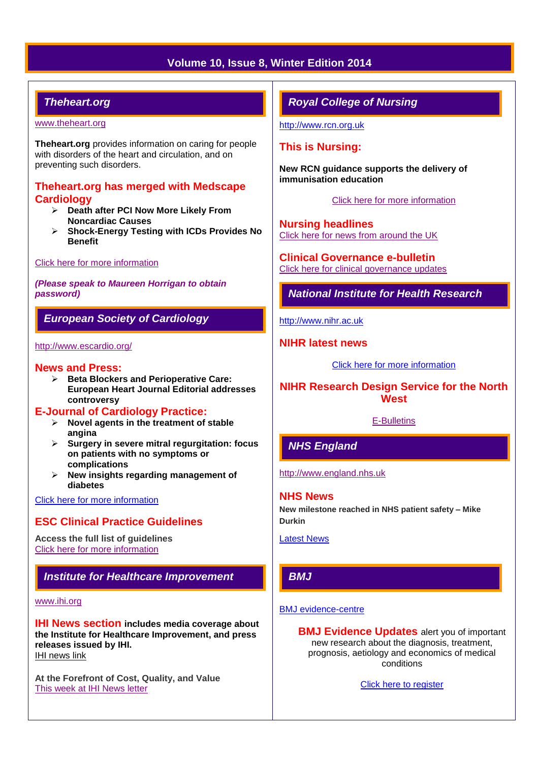# **Volume 10, Issue 8, Winter Edition 2014**

# *Theheart.org*

#### [www.theheart.org](http://www.theheart.org/)

**Theheart.org** provides information on caring for people with disorders of the heart and circulation, and on preventing such disorders.

## **Theheart.org has merged with Medscape Cardiology**

- **Death after PCI Now More Likely From Noncardiac Causes**
- **Shock-Energy Testing with ICDs Provides No Benefit**

#### [Click here for more information](http://www.medscape.com/cardiology/news)

*(Please speak to Maureen Horrigan to obtain password)*

# *European Society of Cardiology*

#### <http://www.escardio.org/>

#### **News and Press:**

 **Beta Blockers and Perioperative Care: European Heart Journal Editorial addresses controversy**

#### **E-Journal of Cardiology Practice:**

- **Novel agents in the treatment of stable angina**
- **Surgery in severe mitral regurgitation: focus on patients with no symptoms or complications**
- **New insights regarding management of diabetes**

#### [Click here for more information](http://www.escardio.org/communities/councils/ccp/e-journal/volume12/Pages/welcome.aspx)

# **ESC Clinical Practice Guidelines**

**Access the full list of guidelines**  [Click here for more information](http://www.escardio.org/guidelines-surveys/esc-guidelines/Pages/GuidelinesList.aspx)

# *Institute for Healthcare Improvement*

#### [www.ihi.org](http://www.ihi.org/)

**IHI News section includes media coverage about the Institute for Healthcare Improvement, and press releases issued by IHI.** [IHI news link](http://www.ihi.org/about/news/Pages/default.aspx)

**At the Forefront of Cost, Quality, and Value** [This week at IHI News letter](http://www.ihi.org/Documents/ThisWeekatIHI.htm) 

# *Royal College of Nursing*

[http://www.rcn.org.uk](http://www.rcn.org.uk/)

## **This is Nursing:**

**New RCN guidance supports the delivery of immunisation education**

[Click here for more information](http://thisisnursing.rcn.org.uk/members/)

**Nursing headlines** [Click here for news from around the UK](http://www.rcn.org.uk/newsevents/news)

**Clinical Governance e-bulletin** [Click here for clinical governance updates](http://www.rcn.org.uk/development/practice/clinical_governance/quality_and_safety_e-bulletin/e-bulletin_archive)

*National Institute for Health Research* 

[http://www.nihr.ac.uk](http://www.nihr.ac.uk/)

#### **NIHR latest news**

[Click here for more information](http://www.nihr.ac.uk/news/Pages/default.aspx)

# **NIHR Research Design Service for the North West**

#### [E-Bulletins](http://www.rds-nw.nihr.ac.uk/newstrainingevents/ebulletin.php)

# *NHS England*

[http://www.england.nhs.uk](http://www.england.nhs.uk/)

#### **NHS News**

**New milestone reached in NHS patient safety – Mike Durkin**

[Latest News](http://www.england.nhs.uk/2014/02/)

# *BMJ*

#### [BMJ evidence-centre](http://group.bmj.com/products/evidence-centre/evidence-updates)

**BMJ Evidence Updates** alert you of important new research about the diagnosis, treatment, prognosis, aetiology and economics of medical conditions

[Click here to register](http://plus.mcmaster.ca/EvidenceUpdates/Registration.aspx)